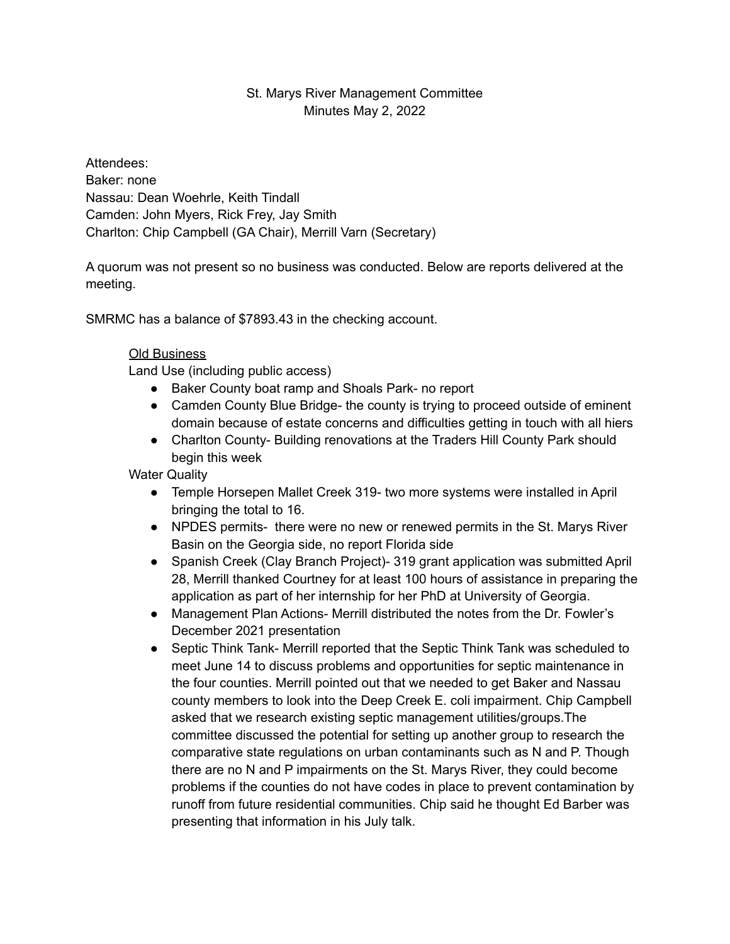## St. Marys River Management Committee Minutes May 2, 2022

Attendees: Baker: none Nassau: Dean Woehrle, Keith Tindall Camden: John Myers, Rick Frey, Jay Smith Charlton: Chip Campbell (GA Chair), Merrill Varn (Secretary)

A quorum was not present so no business was conducted. Below are reports delivered at the meeting.

SMRMC has a balance of \$7893.43 in the checking account.

# Old Business

Land Use (including public access)

- Baker County boat ramp and Shoals Park- no report
- Camden County Blue Bridge- the county is trying to proceed outside of eminent domain because of estate concerns and difficulties getting in touch with all hiers
- Charlton County- Building renovations at the Traders Hill County Park should begin this week

Water Quality

- Temple Horsepen Mallet Creek 319- two more systems were installed in April bringing the total to 16.
- NPDES permits- there were no new or renewed permits in the St. Marys River Basin on the Georgia side, no report Florida side
- Spanish Creek (Clay Branch Project)- 319 grant application was submitted April 28, Merrill thanked Courtney for at least 100 hours of assistance in preparing the application as part of her internship for her PhD at University of Georgia.
- Management Plan Actions- Merrill distributed the notes from the Dr. Fowler's December 2021 presentation
- Septic Think Tank- Merrill reported that the Septic Think Tank was scheduled to meet June 14 to discuss problems and opportunities for septic maintenance in the four counties. Merrill pointed out that we needed to get Baker and Nassau county members to look into the Deep Creek E. coli impairment. Chip Campbell asked that we research existing septic management utilities/groups.The committee discussed the potential for setting up another group to research the comparative state regulations on urban contaminants such as N and P. Though there are no N and P impairments on the St. Marys River, they could become problems if the counties do not have codes in place to prevent contamination by runoff from future residential communities. Chip said he thought Ed Barber was presenting that information in his July talk.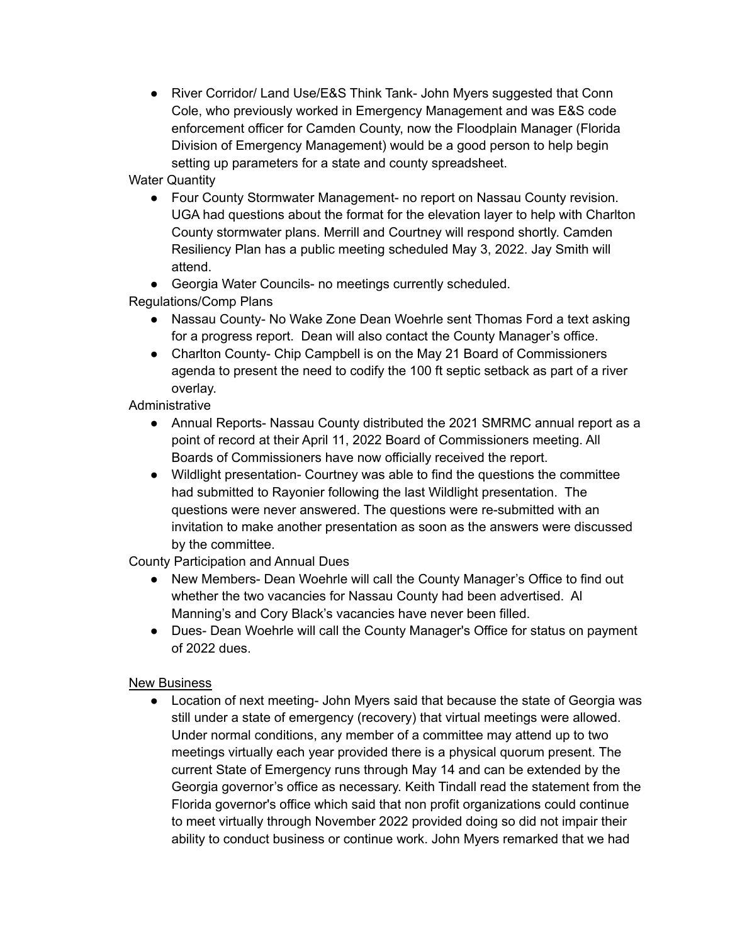● River Corridor/ Land Use/E&S Think Tank- John Myers suggested that Conn Cole, who previously worked in Emergency Management and was E&S code enforcement officer for Camden County, now the Floodplain Manager (Florida Division of Emergency Management) would be a good person to help begin setting up parameters for a state and county spreadsheet.

Water Quantity

● Four County Stormwater Management- no report on Nassau County revision. UGA had questions about the format for the elevation layer to help with Charlton County stormwater plans. Merrill and Courtney will respond shortly. Camden Resiliency Plan has a public meeting scheduled May 3, 2022. Jay Smith will attend.

● Georgia Water Councils- no meetings currently scheduled.

Regulations/Comp Plans

- Nassau County- No Wake Zone Dean Woehrle sent Thomas Ford a text asking for a progress report. Dean will also contact the County Manager's office.
- Charlton County- Chip Campbell is on the May 21 Board of Commissioners agenda to present the need to codify the 100 ft septic setback as part of a river overlay.

Administrative

- Annual Reports- Nassau County distributed the 2021 SMRMC annual report as a point of record at their April 11, 2022 Board of Commissioners meeting. All Boards of Commissioners have now officially received the report.
- Wildlight presentation- Courtney was able to find the questions the committee had submitted to Rayonier following the last Wildlight presentation. The questions were never answered. The questions were re-submitted with an invitation to make another presentation as soon as the answers were discussed by the committee.

County Participation and Annual Dues

- New Members- Dean Woehrle will call the County Manager's Office to find out whether the two vacancies for Nassau County had been advertised. Al Manning's and Cory Black's vacancies have never been filled.
- Dues- Dean Woehrle will call the County Manager's Office for status on payment of 2022 dues.

## New Business

• Location of next meeting- John Myers said that because the state of Georgia was still under a state of emergency (recovery) that virtual meetings were allowed. Under normal conditions, any member of a committee may attend up to two meetings virtually each year provided there is a physical quorum present. The current State of Emergency runs through May 14 and can be extended by the Georgia governor's office as necessary. Keith Tindall read the statement from the Florida governor's office which said that non profit organizations could continue to meet virtually through November 2022 provided doing so did not impair their ability to conduct business or continue work. John Myers remarked that we had